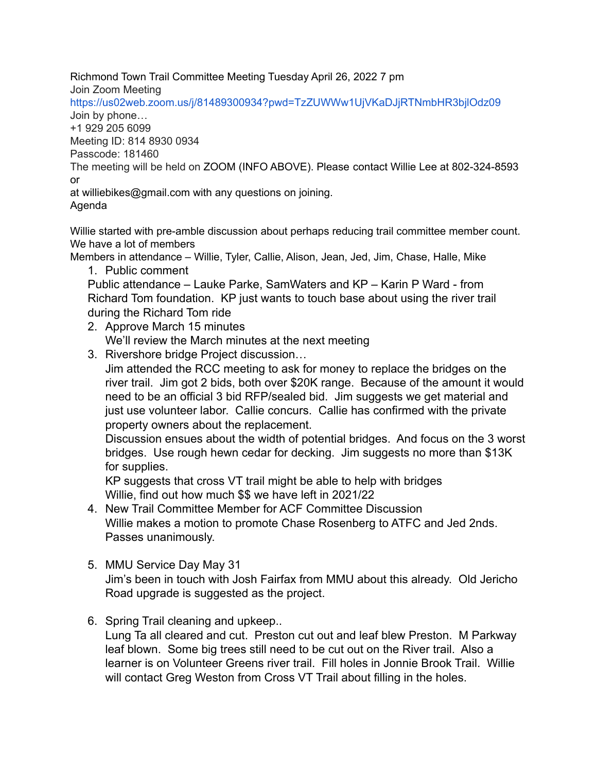Richmond Town Trail Committee Meeting Tuesday April 26, 2022 7 pm

Join Zoom Meeting

https://us02web.zoom.us/j/81489300934?pwd=TzZUWWw1UjVKaDJjRTNmbHR3bjlOdz09 Join by phone…

+1 929 205 6099

Meeting ID: 814 8930 0934

Passcode: 181460

The meeting will be held on ZOOM (INFO ABOVE). Please contact Willie Lee at 802-324-8593 or

at williebikes@gmail.com with any questions on joining. Agenda

Willie started with pre-amble discussion about perhaps reducing trail committee member count. We have a lot of members

Members in attendance – Willie, Tyler, Callie, Alison, Jean, Jed, Jim, Chase, Halle, Mike

1. Public comment

Public attendance – Lauke Parke, SamWaters and KP – Karin P Ward - from Richard Tom foundation. KP just wants to touch base about using the river trail during the Richard Tom ride

- 2. Approve March 15 minutes We'll review the March minutes at the next meeting
- 3. Rivershore bridge Project discussion…

Jim attended the RCC meeting to ask for money to replace the bridges on the river trail. Jim got 2 bids, both over \$20K range. Because of the amount it would need to be an official 3 bid RFP/sealed bid. Jim suggests we get material and just use volunteer labor. Callie concurs. Callie has confirmed with the private property owners about the replacement.

Discussion ensues about the width of potential bridges. And focus on the 3 worst bridges. Use rough hewn cedar for decking. Jim suggests no more than \$13K for supplies.

KP suggests that cross VT trail might be able to help with bridges Willie, find out how much \$\$ we have left in 2021/22

- 4. New Trail Committee Member for ACF Committee Discussion Willie makes a motion to promote Chase Rosenberg to ATFC and Jed 2nds. Passes unanimously.
- 5. MMU Service Day May 31

Jim's been in touch with Josh Fairfax from MMU about this already. Old Jericho Road upgrade is suggested as the project.

6. Spring Trail cleaning and upkeep..

Lung Ta all cleared and cut. Preston cut out and leaf blew Preston. M Parkway leaf blown. Some big trees still need to be cut out on the River trail. Also a learner is on Volunteer Greens river trail. Fill holes in Jonnie Brook Trail. Willie will contact Greg Weston from Cross VT Trail about filling in the holes.